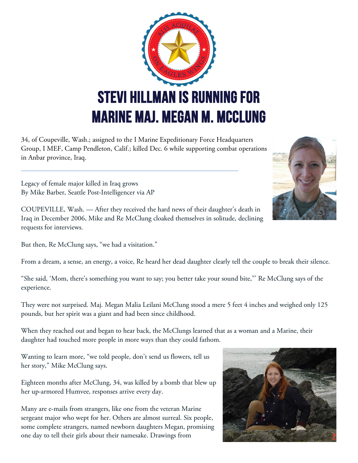

34, of Coupeville, Wash.; assigned to the I Marine Expeditionary Force Headquarters Group, I MEF, Camp Pendleton, Calif.; killed Dec. 6 while supporting combat operations in Anbar province, Iraq.

Legacy of female major killed in Iraq grows By Mike Barber, Seattle Post-Intelligencer via AP

COUPEVILLE, Wash. — After they received the hard news of their daughter's death in Iraq in December 2006, Mike and Re McClung cloaked themselves in solitude, declining requests for interviews.

But then, Re McClung says, "we had a visitation."

From a dream, a sense, an energy, a voice, Re heard her dead daughter clearly tell the couple to break their silence.

"She said, 'Mom, there's something you want to say; you better take your sound bite,"' Re McClung says of the experience.

They were not surprised. Maj. Megan Malia Leilani McClung stood a mere 5 feet 4 inches and weighed only 125 pounds, but her spirit was a giant and had been since childhood.

When they reached out and began to hear back, the McClungs learned that as a woman and a Marine, their daughter had touched more people in more ways than they could fathom.

Wanting to learn more, "we told people, don't send us flowers, tell us her story," Mike McClung says.

Eighteen months after McClung, 34, was killed by a bomb that blew up her up-armored Humvee, responses arrive every day.

Many are e-mails from strangers, like one from the veteran Marine sergeant major who wept for her. Others are almost surreal. Six people, some complete strangers, named newborn daughters Megan, promising one day to tell their girls about their namesake. Drawings from



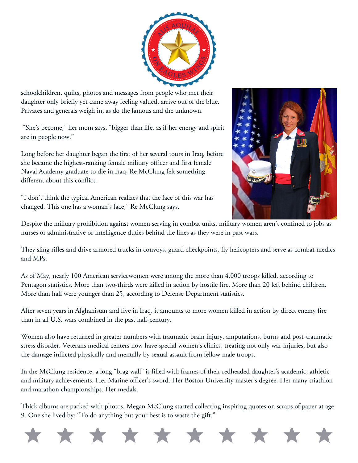

schoolchildren, quilts, photos and messages from people who met their daughter only briefly yet came away feeling valued, arrive out of the blue. Privates and generals weigh in, as do the famous and the unknown.

"She's become," her mom says, "bigger than life, as if her energy and spirit are in people now."

Long before her daughter began the first of her several tours in Iraq, before she became the highest-ranking female military officer and first female Naval Academy graduate to die in Iraq, Re McClung felt something different about this conflict.

"I don't think the typical American realizes that the face of this war has changed. This one has a woman's face," Re McClung says.



Despite the military prohibition against women serving in combat units, military women aren't confined to jobs as nurses or administrative or intelligence duties behind the lines as they were in past wars.

They sling rifles and drive armored trucks in convoys, guard checkpoints, fly helicopters and serve as combat medics and MPs.

As of May, nearly 100 American servicewomen were among the more than 4,000 troops killed, according to Pentagon statistics. More than two-thirds were killed in action by hostile fire. More than 20 left behind children. More than half were younger than 25, according to Defense Department statistics.

After seven years in Afghanistan and five in Iraq, it amounts to more women killed in action by direct enemy fire than in all U.S. wars combined in the past half-century.

Women also have returned in greater numbers with traumatic brain injury, amputations, burns and post-traumatic stress disorder. Veterans medical centers now have special women's clinics, treating not only war injuries, but also the damage inflicted physically and mentally by sexual assault from fellow male troops.

In the McClung residence, a long "brag wall" is filled with frames of their redheaded daughter's academic, athletic and military achievements. Her Marine officer's sword. Her Boston University master's degree. Her many triathlon and marathon championships. Her medals.

Thick albums are packed with photos. Megan McClung started collecting inspiring quotes on scraps of paper at age 9. One she lived by: "To do anything but your best is to waste the gift."

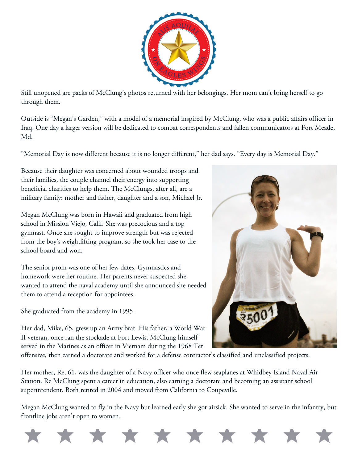

Still unopened are packs of McClung's photos returned with her belongings. Her mom can't bring herself to go through them.

Outside is "Megan's Garden," with a model of a memorial inspired by McClung, who was a public affairs officer in Iraq. One day a larger version will be dedicated to combat correspondents and fallen communicators at Fort Meade, Md.

"Memorial Day is now different because it is no longer different," her dad says. "Every day is Memorial Day."

Because their daughter was concerned about wounded troops and their families, the couple channel their energy into supporting beneficial charities to help them. The McClungs, after all, are a military family: mother and father, daughter and a son, Michael Jr.

Megan McClung was born in Hawaii and graduated from high school in Mission Viejo, Calif. She was precocious and a top gymnast. Once she sought to improve strength but was rejected from the boy's weightlifting program, so she took her case to the school board and won.

The senior prom was one of her few dates. Gymnastics and homework were her routine. Her parents never suspected she wanted to attend the naval academy until she announced she needed them to attend a reception for appointees.

She graduated from the academy in 1995.

Her dad, Mike, 65, grew up an Army brat. His father, a World War II veteran, once ran the stockade at Fort Lewis. McClung himself served in the Marines as an officer in Vietnam during the 1968 Tet



offensive, then earned a doctorate and worked for a defense contractor's classified and unclassified projects.

Her mother, Re, 61, was the daughter of a Navy officer who once flew seaplanes at Whidbey Island Naval Air Station. Re McClung spent a career in education, also earning a doctorate and becoming an assistant school superintendent. Both retired in 2004 and moved from California to Coupeville.

Megan McClung wanted to fly in the Navy but learned early she got airsick. She wanted to serve in the infantry, but frontline jobs aren't open to women.

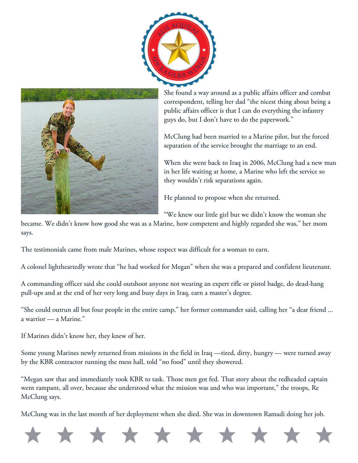



She found a way around as a public affairs officer and combat correspondent, telling her dad "the nicest thing about being a public affairs officer is that I can do everything the infantry guys do, but I don't have to do the paperwork."

McClung had been married to a Marine pilot, but the forced separation of the service brought the marriage to an end.

When she went back to Iraq in 2006, McClung had a new man in her life waiting at home, a Marine who left the service so they wouldn't risk separations again.

He planned to propose when she returned.

"We knew our little girl but we didn't know the woman she

became. We didn't know how good she was as a Marine, how competent and highly regarded she was," her mom says.

The testimonials came from male Marines, whose respect was difficult for a woman to earn.

A colonel lightheartedly wrote that "he had worked for Megan" when she was a prepared and confident lieutenant.

A commanding officer said she could outshoot anyone not wearing an expert rifle or pistol badge, do dead-hang pull-ups and at the end of her very long and busy days in Iraq, earn a master's degree.

"She could outrun all but four people in the entire camp," her former commander said, calling her "a dear friend ... a warrior — a Marine."

If Marines didn't know her, they knew of her.

Some young Marines newly returned from missions in the field in Iraq —tired, dirty, hungry — were turned away by the KBR contractor running the mess hall, told "no food" until they showered.

"Megan saw that and immediately took KBR to task. Those men got fed. That story about the redheaded captain went rampant, all over, because she understood what the mission was and who was important," the troops, Re McClung says.

McClung was in the last month of her deployment when she died. She was in downtown Ramadi doing her job.